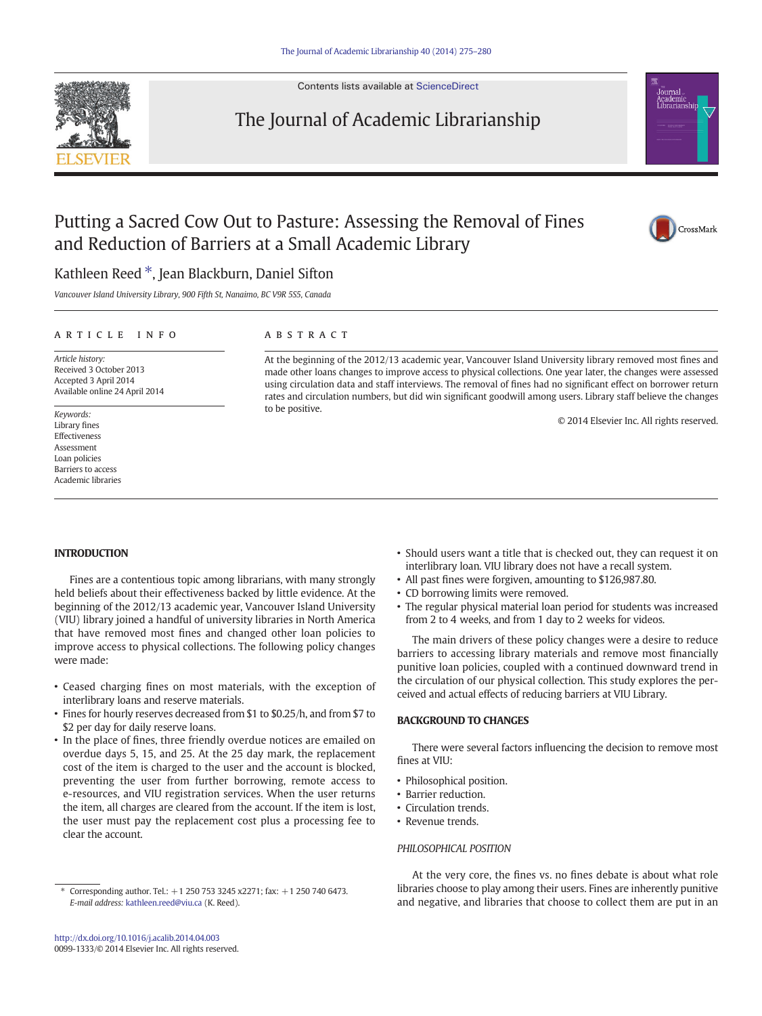Contents lists available at [ScienceDirect](http://www.sciencedirect.com/science/journal/)



# The Journal of Academic Librarianship

# Putting a Sacred Cow Out to Pasture: Assessing the Removal of Fines and Reduction of Barriers at a Small Academic Library



# Kathleen Reed<sup>\*</sup>, Jean Blackburn, Daniel Sifton

Vancouver Island University Library, 900 Fifth St, Nanaimo, BC V9R 5S5, Canada

# article info abstract

Article history: Received 3 October 2013 Accepted 3 April 2014 Available online 24 April 2014

Keywords: Library fines Effectiveness Assessment Loan policies Barriers to access Academic libraries At the beginning of the 2012/13 academic year, Vancouver Island University library removed most fines and made other loans changes to improve access to physical collections. One year later, the changes were assessed using circulation data and staff interviews. The removal of fines had no significant effect on borrower return rates and circulation numbers, but did win significant goodwill among users. Library staff believe the changes to be positive.

© 2014 Elsevier Inc. All rights reserved.

# **INTRODUCTION**

Fines are a contentious topic among librarians, with many strongly held beliefs about their effectiveness backed by little evidence. At the beginning of the 2012/13 academic year, Vancouver Island University (VIU) library joined a handful of university libraries in North America that have removed most fines and changed other loan policies to improve access to physical collections. The following policy changes were made:

- Ceased charging fines on most materials, with the exception of interlibrary loans and reserve materials.
- Fines for hourly reserves decreased from \$1 to \$0.25/h, and from \$7 to \$2 per day for daily reserve loans.
- In the place of fines, three friendly overdue notices are emailed on overdue days 5, 15, and 25. At the 25 day mark, the replacement cost of the item is charged to the user and the account is blocked, preventing the user from further borrowing, remote access to e-resources, and VIU registration services. When the user returns the item, all charges are cleared from the account. If the item is lost, the user must pay the replacement cost plus a processing fee to clear the account.
- Should users want a title that is checked out, they can request it on interlibrary loan. VIU library does not have a recall system.
- All past fines were forgiven, amounting to \$126,987.80.
- CD borrowing limits were removed.
- The regular physical material loan period for students was increased from 2 to 4 weeks, and from 1 day to 2 weeks for videos.

The main drivers of these policy changes were a desire to reduce barriers to accessing library materials and remove most financially punitive loan policies, coupled with a continued downward trend in the circulation of our physical collection. This study explores the perceived and actual effects of reducing barriers at VIU Library.

There were several factors influencing the decision to remove most fines at VIU:

- Philosophical position.
- Barrier reduction.
- Circulation trends.
- Revenue trends.

# PHILOSOPHICAL POSITION

At the very core, the fines vs. no fines debate is about what role libraries choose to play among their users. Fines are inherently punitive and negative, and libraries that choose to collect them are put in an

Corresponding author. Tel.: +1 250 753 3245 x2271; fax: +1 250 740 6473. E-mail address: [kathleen.reed@viu.ca](mailto:kathleen.reed@viu.ca) (K. Reed).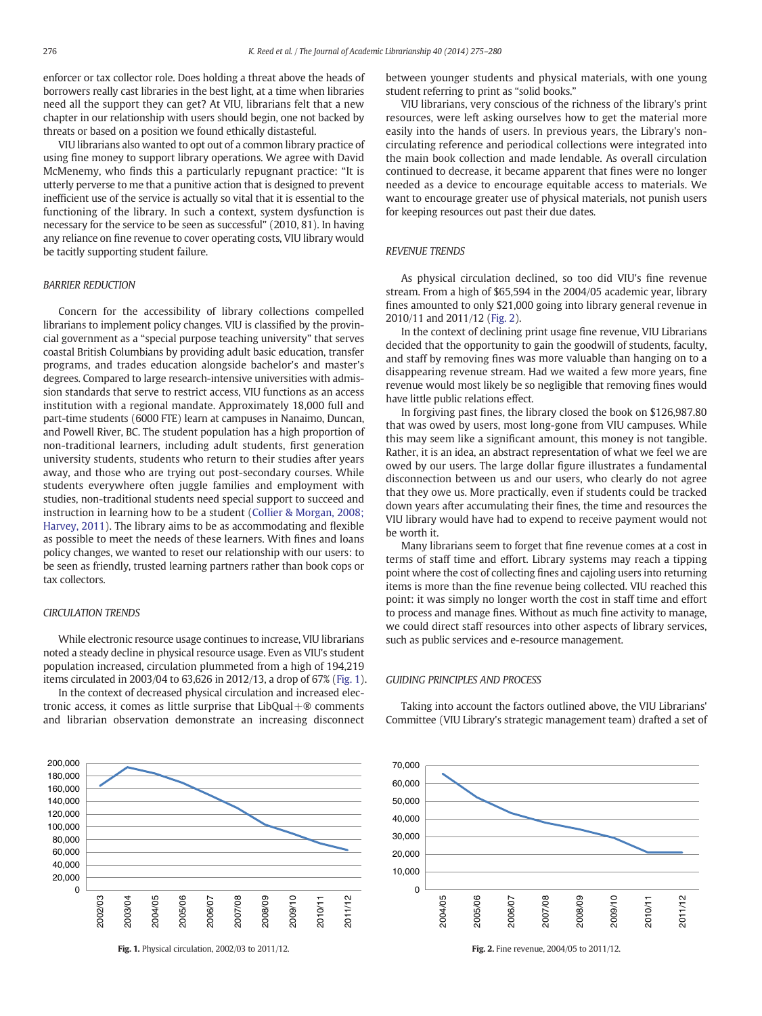<span id="page-1-0"></span>enforcer or tax collector role. Does holding a threat above the heads of borrowers really cast libraries in the best light, at a time when libraries need all the support they can get? At VIU, librarians felt that a new chapter in our relationship with users should begin, one not backed by threats or based on a position we found ethically distasteful.

VIU librarians also wanted to opt out of a common library practice of using fine money to support library operations. We agree with David McMenemy, who finds this a particularly repugnant practice: "It is utterly perverse to me that a punitive action that is designed to prevent inefficient use of the service is actually so vital that it is essential to the functioning of the library. In such a context, system dysfunction is necessary for the service to be seen as successful" (2010, 81). In having any reliance on fine revenue to cover operating costs, VIU library would be tacitly supporting student failure.

# BARRIER REDUCTION

Concern for the accessibility of library collections compelled librarians to implement policy changes. VIU is classified by the provincial government as a "special purpose teaching university" that serves coastal British Columbians by providing adult basic education, transfer programs, and trades education alongside bachelor's and master's degrees. Compared to large research-intensive universities with admission standards that serve to restrict access, VIU functions as an access institution with a regional mandate. Approximately 18,000 full and part-time students (6000 FTE) learn at campuses in Nanaimo, Duncan, and Powell River, BC. The student population has a high proportion of non-traditional learners, including adult students, first generation university students, students who return to their studies after years away, and those who are trying out post-secondary courses. While students everywhere often juggle families and employment with studies, non-traditional students need special support to succeed and instruction in learning how to be a student [\(Collier & Morgan, 2008;](#page-5-0) [Harvey, 2011](#page-5-0)). The library aims to be as accommodating and flexible as possible to meet the needs of these learners. With fines and loans policy changes, we wanted to reset our relationship with our users: to be seen as friendly, trusted learning partners rather than book cops or tax collectors.

## CIRCULATION TRENDS

While electronic resource usage continues to increase, VIU librarians noted a steady decline in physical resource usage. Even as VIU's student population increased, circulation plummeted from a high of 194,219 items circulated in 2003/04 to 63,626 in 2012/13, a drop of 67% (Fig. 1).

In the context of decreased physical circulation and increased electronic access, it comes as little surprise that LibQual+® comments and librarian observation demonstrate an increasing disconnect



Fig. 1. Physical circulation, 2002/03 to 2011/12.

between younger students and physical materials, with one young student referring to print as "solid books."

VIU librarians, very conscious of the richness of the library's print resources, were left asking ourselves how to get the material more easily into the hands of users. In previous years, the Library's noncirculating reference and periodical collections were integrated into the main book collection and made lendable. As overall circulation continued to decrease, it became apparent that fines were no longer needed as a device to encourage equitable access to materials. We want to encourage greater use of physical materials, not punish users for keeping resources out past their due dates.

# REVENUE TRENDS

As physical circulation declined, so too did VIU's fine revenue stream. From a high of \$65,594 in the 2004/05 academic year, library fines amounted to only \$21,000 going into library general revenue in 2010/11 and 2011/12 (Fig. 2).

In the context of declining print usage fine revenue, VIU Librarians decided that the opportunity to gain the goodwill of students, faculty, and staff by removing fines was more valuable than hanging on to a disappearing revenue stream. Had we waited a few more years, fine revenue would most likely be so negligible that removing fines would have little public relations effect.

In forgiving past fines, the library closed the book on \$126,987.80 that was owed by users, most long-gone from VIU campuses. While this may seem like a significant amount, this money is not tangible. Rather, it is an idea, an abstract representation of what we feel we are owed by our users. The large dollar figure illustrates a fundamental disconnection between us and our users, who clearly do not agree that they owe us. More practically, even if students could be tracked down years after accumulating their fines, the time and resources the VIU library would have had to expend to receive payment would not be worth it.

Many librarians seem to forget that fine revenue comes at a cost in terms of staff time and effort. Library systems may reach a tipping point where the cost of collecting fines and cajoling users into returning items is more than the fine revenue being collected. VIU reached this point: it was simply no longer worth the cost in staff time and effort to process and manage fines. Without as much fine activity to manage, we could direct staff resources into other aspects of library services, such as public services and e-resource management.

### GUIDING PRINCIPLES AND PROCESS

Taking into account the factors outlined above, the VIU Librarians' Committee (VIU Library's strategic management team) drafted a set of



Fig. 2. Fine revenue, 2004/05 to 2011/12.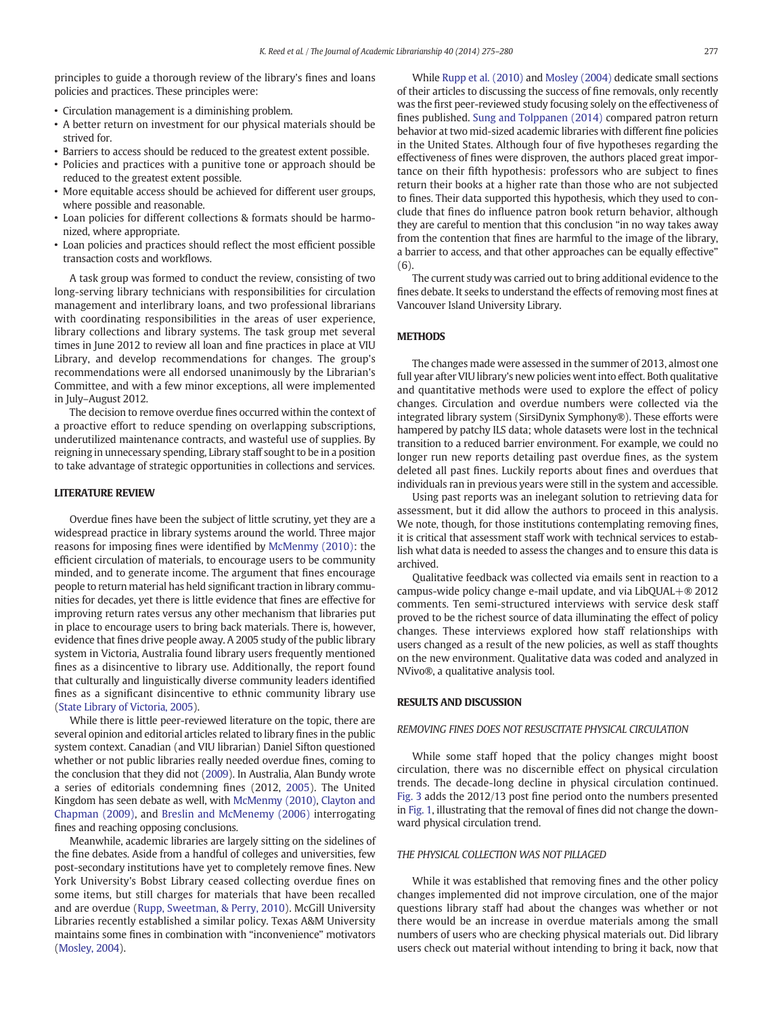principles to guide a thorough review of the library's fines and loans policies and practices. These principles were:

- Circulation management is a diminishing problem.
- A better return on investment for our physical materials should be strived for.
- Barriers to access should be reduced to the greatest extent possible.
- Policies and practices with a punitive tone or approach should be reduced to the greatest extent possible.
- More equitable access should be achieved for different user groups, where possible and reasonable.
- Loan policies for different collections & formats should be harmonized, where appropriate.
- Loan policies and practices should reflect the most efficient possible transaction costs and workflows.

A task group was formed to conduct the review, consisting of two long-serving library technicians with responsibilities for circulation management and interlibrary loans, and two professional librarians with coordinating responsibilities in the areas of user experience, library collections and library systems. The task group met several times in June 2012 to review all loan and fine practices in place at VIU Library, and develop recommendations for changes. The group's recommendations were all endorsed unanimously by the Librarian's Committee, and with a few minor exceptions, all were implemented in July–August 2012.

The decision to remove overdue fines occurred within the context of a proactive effort to reduce spending on overlapping subscriptions, underutilized maintenance contracts, and wasteful use of supplies. By reigning in unnecessary spending, Library staff sought to be in a position to take advantage of strategic opportunities in collections and services.

Overdue fines have been the subject of little scrutiny, yet they are a widespread practice in library systems around the world. Three major reasons for imposing fines were identified by [McMenmy \(2010\):](#page-5-0) the efficient circulation of materials, to encourage users to be community minded, and to generate income. The argument that fines encourage people to return material has held significant traction in library communities for decades, yet there is little evidence that fines are effective for improving return rates versus any other mechanism that libraries put in place to encourage users to bring back materials. There is, however, evidence that fines drive people away. A 2005 study of the public library system in Victoria, Australia found library users frequently mentioned fines as a disincentive to library use. Additionally, the report found that culturally and linguistically diverse community leaders identified fines as a significant disincentive to ethnic community library use [\(State Library of Victoria, 2005\)](#page-5-0).

While there is little peer-reviewed literature on the topic, there are several opinion and editorial articles related to library fines in the public system context. Canadian (and VIU librarian) Daniel Sifton questioned whether or not public libraries really needed overdue fines, coming to the conclusion that they did not ([2009](#page-5-0)). In Australia, Alan Bundy wrote a series of editorials condemning fines (2012, [2005](#page-5-0)). The United Kingdom has seen debate as well, with [McMenmy \(2010\)](#page-5-0), [Clayton and](#page-5-0) [Chapman \(2009\)](#page-5-0), and [Breslin and McMenemy \(2006\)](#page-5-0) interrogating fines and reaching opposing conclusions.

Meanwhile, academic libraries are largely sitting on the sidelines of the fine debates. Aside from a handful of colleges and universities, few post-secondary institutions have yet to completely remove fines. New York University's Bobst Library ceased collecting overdue fines on some items, but still charges for materials that have been recalled and are overdue ([Rupp, Sweetman, & Perry, 2010\)](#page-5-0). McGill University Libraries recently established a similar policy. Texas A&M University maintains some fines in combination with "inconvenience" motivators [\(Mosley, 2004](#page-5-0)).

While [Rupp et al. \(2010\)](#page-5-0) and [Mosley \(2004\)](#page-5-0) dedicate small sections of their articles to discussing the success of fine removals, only recently was the first peer-reviewed study focusing solely on the effectiveness of fines published. [Sung and Tolppanen \(2014\)](#page-5-0) compared patron return behavior at two mid-sized academic libraries with different fine policies in the United States. Although four of five hypotheses regarding the effectiveness of fines were disproven, the authors placed great importance on their fifth hypothesis: professors who are subject to fines return their books at a higher rate than those who are not subjected to fines. Their data supported this hypothesis, which they used to conclude that fines do influence patron book return behavior, although they are careful to mention that this conclusion "in no way takes away from the contention that fines are harmful to the image of the library, a barrier to access, and that other approaches can be equally effective" (6).

The current study was carried out to bring additional evidence to the fines debate. It seeks to understand the effects of removing most fines at Vancouver Island University Library.

# **METHODS**

The changes made were assessed in the summer of 2013, almost one full year after VIU library's new policies went into effect. Both qualitative and quantitative methods were used to explore the effect of policy changes. Circulation and overdue numbers were collected via the integrated library system (SirsiDynix Symphony®). These efforts were hampered by patchy ILS data; whole datasets were lost in the technical transition to a reduced barrier environment. For example, we could no longer run new reports detailing past overdue fines, as the system deleted all past fines. Luckily reports about fines and overdues that individuals ran in previous years were still in the system and accessible.

Using past reports was an inelegant solution to retrieving data for assessment, but it did allow the authors to proceed in this analysis. We note, though, for those institutions contemplating removing fines, it is critical that assessment staff work with technical services to establish what data is needed to assess the changes and to ensure this data is archived.

Qualitative feedback was collected via emails sent in reaction to a campus-wide policy change e-mail update, and via LibQUAL+® 2012 comments. Ten semi-structured interviews with service desk staff proved to be the richest source of data illuminating the effect of policy changes. These interviews explored how staff relationships with users changed as a result of the new policies, as well as staff thoughts on the new environment. Qualitative data was coded and analyzed in NVivo®, a qualitative analysis tool.

# **RESULTS AND DISCUSSION**

## REMOVING FINES DOES NOT RESUSCITATE PHYSICAL CIRCULATION

While some staff hoped that the policy changes might boost circulation, there was no discernible effect on physical circulation trends. The decade-long decline in physical circulation continued. [Fig. 3](#page-3-0) adds the 2012/13 post fine period onto the numbers presented in [Fig. 1,](#page-1-0) illustrating that the removal of fines did not change the downward physical circulation trend.

### THE PHYSICAL COLLECTION WAS NOT PILLAGED

While it was established that removing fines and the other policy changes implemented did not improve circulation, one of the major questions library staff had about the changes was whether or not there would be an increase in overdue materials among the small numbers of users who are checking physical materials out. Did library users check out material without intending to bring it back, now that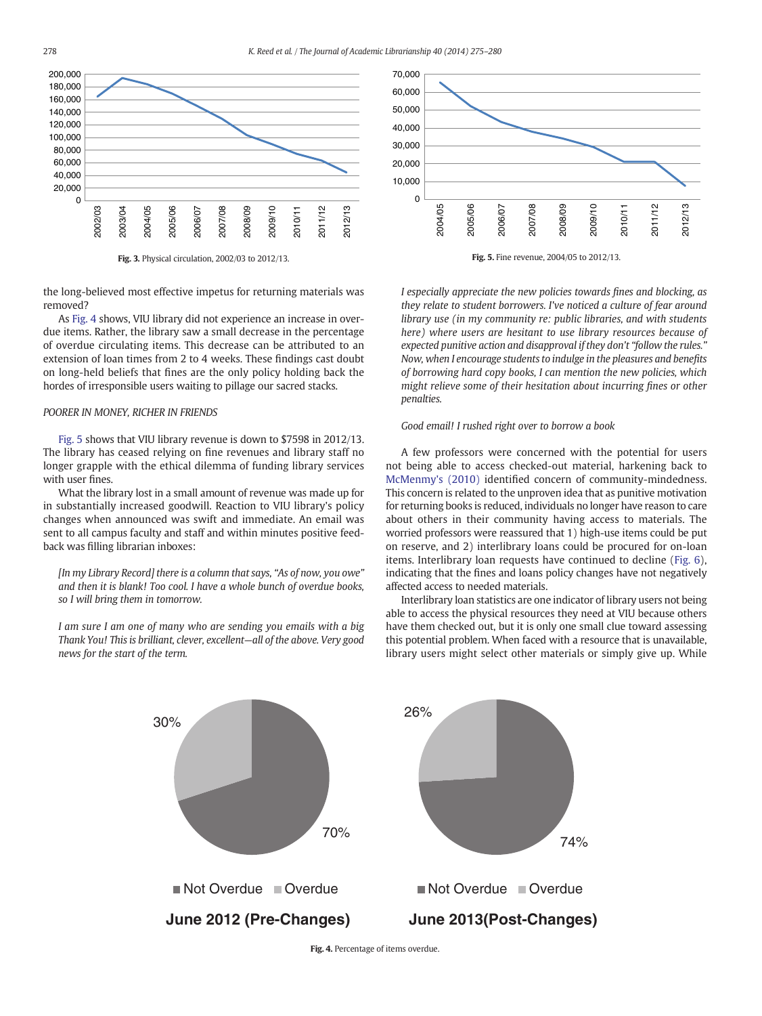<span id="page-3-0"></span>

Fig. 3. Physical circulation, 2002/03 to 2012/13.

the long-believed most effective impetus for returning materials was removed?

As Fig. 4 shows, VIU library did not experience an increase in overdue items. Rather, the library saw a small decrease in the percentage of overdue circulating items. This decrease can be attributed to an extension of loan times from 2 to 4 weeks. These findings cast doubt on long-held beliefs that fines are the only policy holding back the hordes of irresponsible users waiting to pillage our sacred stacks.

### POORER IN MONEY, RICHER IN FRIENDS

Fig. 5 shows that VIU library revenue is down to \$7598 in 2012/13. The library has ceased relying on fine revenues and library staff no longer grapple with the ethical dilemma of funding library services with user fines.

What the library lost in a small amount of revenue was made up for in substantially increased goodwill. Reaction to VIU library's policy changes when announced was swift and immediate. An email was sent to all campus faculty and staff and within minutes positive feedback was filling librarian inboxes:

[In my Library Record] there is a column that says, "As of now, you owe" and then it is blank! Too cool. I have a whole bunch of overdue books, so I will bring them in tomorrow.

I am sure I am one of many who are sending you emails with a big Thank You! This is brilliant, clever, excellent—all of the above. Very good news for the start of the term.



Fig. 5. Fine revenue, 2004/05 to 2012/13.

I especially appreciate the new policies towards fines and blocking, as they relate to student borrowers. I've noticed a culture of fear around library use (in my community re: public libraries, and with students here) where users are hesitant to use library resources because of expected punitive action and disapproval if they don't "follow the rules." Now, when I encourage students to indulge in the pleasures and benefits of borrowing hard copy books, I can mention the new policies, which might relieve some of their hesitation about incurring fines or other penalties.

### Good email! I rushed right over to borrow a book

A few professors were concerned with the potential for users not being able to access checked-out material, harkening back to [McMenmy's \(2010\)](#page-5-0) identified concern of community-mindedness. This concern is related to the unproven idea that as punitive motivation for returning books is reduced, individuals no longer have reason to care about others in their community having access to materials. The worried professors were reassured that 1) high-use items could be put on reserve, and 2) interlibrary loans could be procured for on-loan items. Interlibrary loan requests have continued to decline [\(Fig. 6](#page-4-0)), indicating that the fines and loans policy changes have not negatively affected access to needed materials.

Interlibrary loan statistics are one indicator of library users not being able to access the physical resources they need at VIU because others have them checked out, but it is only one small clue toward assessing this potential problem. When faced with a resource that is unavailable, library users might select other materials or simply give up. While



Fig. 4. Percentage of items overdue.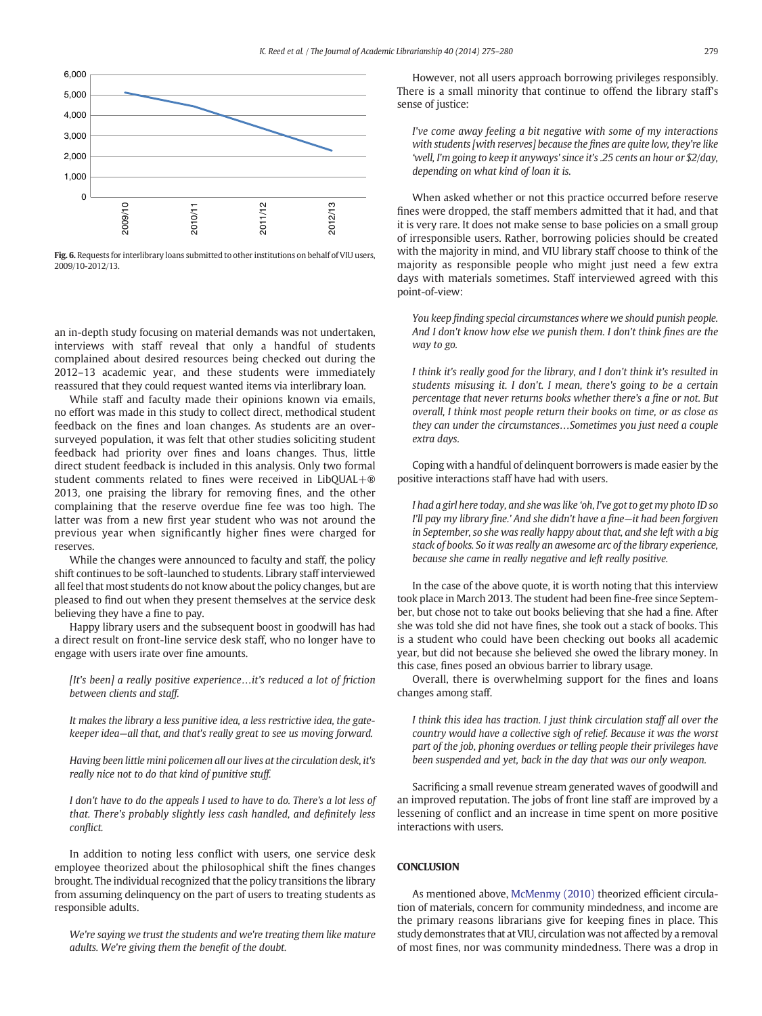<span id="page-4-0"></span>

Fig. 6. Requests for interlibrary loans submitted to other institutions on behalf of VIU users, 2009/10-2012/13.

an in-depth study focusing on material demands was not undertaken, interviews with staff reveal that only a handful of students complained about desired resources being checked out during the 2012–13 academic year, and these students were immediately reassured that they could request wanted items via interlibrary loan.

While staff and faculty made their opinions known via emails, no effort was made in this study to collect direct, methodical student feedback on the fines and loan changes. As students are an oversurveyed population, it was felt that other studies soliciting student feedback had priority over fines and loans changes. Thus, little direct student feedback is included in this analysis. Only two formal student comments related to fines were received in LibQUAL+® 2013, one praising the library for removing fines, and the other complaining that the reserve overdue fine fee was too high. The latter was from a new first year student who was not around the previous year when significantly higher fines were charged for reserves.

While the changes were announced to faculty and staff, the policy shift continues to be soft-launched to students. Library staff interviewed all feel that most students do not know about the policy changes, but are pleased to find out when they present themselves at the service desk believing they have a fine to pay.

Happy library users and the subsequent boost in goodwill has had a direct result on front-line service desk staff, who no longer have to engage with users irate over fine amounts.

[It's been] a really positive experience...it's reduced a lot of friction between clients and staff.

It makes the library a less punitive idea, a less restrictive idea, the gatekeeper idea—all that, and that's really great to see us moving forward.

Having been little mini policemen all our lives at the circulation desk, it's really nice not to do that kind of punitive stuff.

I don't have to do the appeals I used to have to do. There's a lot less of that. There's probably slightly less cash handled, and definitely less conflict.

In addition to noting less conflict with users, one service desk employee theorized about the philosophical shift the fines changes brought. The individual recognized that the policy transitions the library from assuming delinquency on the part of users to treating students as responsible adults.

We're saying we trust the students and we're treating them like mature adults. We're giving them the benefit of the doubt.

However, not all users approach borrowing privileges responsibly. There is a small minority that continue to offend the library staff's sense of justice:

I've come away feeling a bit negative with some of my interactions with students [with reserves] because the fines are quite low, they're like 'well, I'm going to keep it anyways' since it's .25 cents an hour or \$2/day, depending on what kind of loan it is.

When asked whether or not this practice occurred before reserve fines were dropped, the staff members admitted that it had, and that it is very rare. It does not make sense to base policies on a small group of irresponsible users. Rather, borrowing policies should be created with the majority in mind, and VIU library staff choose to think of the majority as responsible people who might just need a few extra days with materials sometimes. Staff interviewed agreed with this point-of-view:

You keep finding special circumstances where we should punish people. And I don't know how else we punish them. I don't think fines are the way to go.

I think it's really good for the library, and I don't think it's resulted in students misusing it. I don't. I mean, there's going to be a certain percentage that never returns books whether there's a fine or not. But overall, I think most people return their books on time, or as close as they can under the circumstances…Sometimes you just need a couple extra days.

Coping with a handful of delinquent borrowers is made easier by the positive interactions staff have had with users.

I had a girl here today, and she was like 'oh, I've got to get my photo ID so I'll pay my library fine.' And she didn't have a fine—it had been forgiven in September, so she was really happy about that, and she left with a big stack of books. So it was really an awesome arc of the library experience, because she came in really negative and left really positive.

In the case of the above quote, it is worth noting that this interview took place in March 2013. The student had been fine-free since September, but chose not to take out books believing that she had a fine. After she was told she did not have fines, she took out a stack of books. This is a student who could have been checking out books all academic year, but did not because she believed she owed the library money. In this case, fines posed an obvious barrier to library usage.

Overall, there is overwhelming support for the fines and loans changes among staff.

I think this idea has traction. I just think circulation staff all over the country would have a collective sigh of relief. Because it was the worst part of the job, phoning overdues or telling people their privileges have been suspended and yet, back in the day that was our only weapon.

Sacrificing a small revenue stream generated waves of goodwill and an improved reputation. The jobs of front line staff are improved by a lessening of conflict and an increase in time spent on more positive interactions with users.

As mentioned above, [McMenmy \(2010\)](#page-5-0) theorized efficient circulation of materials, concern for community mindedness, and income are the primary reasons librarians give for keeping fines in place. This study demonstrates that at VIU, circulation was not affected by a removal of most fines, nor was community mindedness. There was a drop in